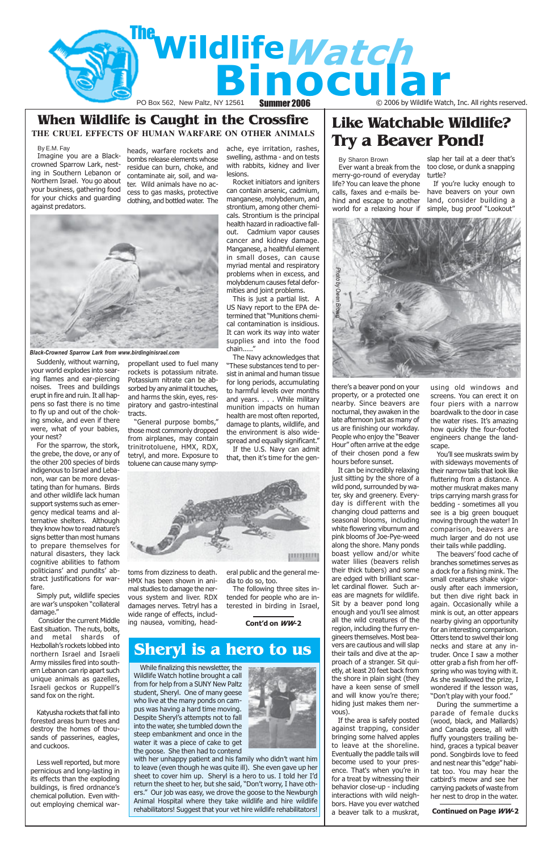Cont'd on WW-2

## Like Watchable Wildlife?

## BY E.M. Fay beads warfare rockets and ache, eve irritation, rashes. Try a Beaver Pond! When Wildlife is Caught in the Crossfire **THE CRUEL EFFECTS OF HUMAN WARFARE ON OTHER ANIMALS**

Imagine you are a Blackcrowned Sparrow Lark, nesting in Southern Lebanon or Northern Israel. You go about your business, gathering food for your chicks and guarding against predators.

Suddenly, without warning, your world explodes into searing flames and ear-piercing noises. Trees and buildings erupt in fire and ruin. It all happens so fast there is no time to fly up and out of the choking smoke, and even if there were, what of your babies, your nest?

For the sparrow, the stork, the grebe, the dove, or any of the other 200 species of birds indigenous to Israel and Lebanon, war can be more devastating than for humans. Birds and other wildlife lack human support systems such as emergency medical teams and alternative shelters. Although they know how to read nature's signs better than most humans to prepare themselves for natural disasters, they lack cognitive abilities to fathom politicians' and pundits' abstract justifications for warfare.

Simply put, wildlife species are war's unspoken "collateral damage."

Consider the current Middle

East situation. The nuts, bolts, and metal shards of Hezbollah's rockets lobbed into northern Israel and Israeli Army missiles fired into southern Lebanon can rip apart such unique animals as gazelles, Israeli geckos or Ruppell's sand fox on the right.

Katyusha rockets that fall into forested areas burn trees and destroy the homes of thousands of passerines, eagles, and cuckoos.

Less well reported, but more pernicious and long-lasting in its effects than the exploding buildings, is fired ordnance's chemical pollution. Even without employing chemical war-

heads, warfare rockets and bombs release elements whose residue can burn, choke, and contaminate air, soil, and water. Wild animals have no access to gas masks, protective clothing, and bottled water. The

propellant used to fuel many rockets is potassium nitrate. Potassium nitrate can be absorbed by any animal it touches, and harms the skin, eyes, respiratory and gastro-intestinal

tracts.

"General purpose bombs," those most commonly dropped from airplanes, may contain trinitrotoluene, HMX, RDX, tetryl, and more. Exposure to toluene can cause many symp-

toms from dizziness to death. HMX has been shown in animal studies to damage the nervous system and liver. RDX damages nerves. Tetryl has a wide range of effects, including nausea, vomiting, headache, eye irritation, rashes, swelling, asthma - and on tests with rabbits, kidney and liver lesions.

Rocket initiators and igniters can contain arsenic, cadmium, manganese, molybdenum, and strontium, among other chemicals. Strontium is the principal health hazard in radioactive fallout. Cadmium vapor causes cancer and kidney damage. Manganese, a healthful element in small doses, can cause myriad mental and respiratory problems when in excess, and molybdenum causes fetal deformities and joint problems.

This is just a partial list. A US Navy report to the EPA determined that "Munitions chemical contamination is insidious. It can work its way into water supplies and into the food chain....."

The Navy acknowledges that "These substances tend to persist in animal and human tissue for long periods, accumulating to harmful levels over months and years. . . . While military munition impacts on human health are most often reported, damage to plants, wildlife, and the environment is also widespread and equally significant." If the U.S. Navy can admit

that, then it's time for the gen-



eral public and the general media to do so, too.

The following three sites intended for people who are interested in birding in Israel,

By Sharon Brown



Continued on Page WW-2

there's a beaver pond on your property, or a protected one nearby. Since beavers are nocturnal, they awaken in the late afternoon just as many of us are finishing our workday. People who enjoy the "Beaver Hour" often arrive at the edge of their chosen pond a few hours before sunset.

Ever want a break from the merry-go-round of everyday life? You can leave the phone calls, faxes and e-mails behind and escape to another land, consider building a world for a relaxing hour if simple, bug proof "Lookout"

It can be incredibly relaxing just sitting by the shore of a wild pond, surrounded by water, sky and greenery. Everyday is different with the changing cloud patterns and seasonal blooms, including white flowering viburnum and pink blooms of Joe-Pye-weed along the shore. Many ponds boast yellow and/or white water lilies (beavers relish their thick tubers) and some are edged with brilliant scarlet cardinal flower. Such areas are magnets for wildlife. Sit by a beaver pond long enough and you'll see almost all the wild creatures of the region, including the furry engineers themselves. Most beavers are cautious and will slap their tails and dive at the approach of a stranger. Sit quietly, at least 20 feet back from the shore in plain sight (they have a keen sense of smell and will know you're there; hiding just makes them nervous). If the area is safely posted against trapping, consider bringing some halved apples to leave at the shoreline. Eventually the paddle tails will become used to your presence. That's when you're in for a treat by witnessing their behavior close-up - including interactions with wild neighbors. Have you ever watched a beaver talk to a muskrat,

slap her tail at a deer that's too close, or dunk a snapping turtle?

If you're lucky enough to have beavers on your own

using old windows and screens. You can erect it on four piers with a narrow boardwalk to the door in case the water rises. It's amazing how quickly the four-footed engineers change the landscape.

You'll see muskrats swim by with sideways movements of their narrow tails that look like fluttering from a distance. A mother muskrat makes many trips carrying marsh grass for bedding - sometimes all you see is a big green bouquet moving through the water! In comparison, beavers are much larger and do not use their tails while paddling.

The beavers' food cache of branches sometimes serves as a dock for a fishing mink. The small creatures shake vigorously after each immersion, but then dive right back in again. Occasionally while a mink is out, an otter appears nearby giving an opportunity for an interesting comparison. Otters tend to swivel their long necks and stare at any intruder. Once I saw a mother otter grab a fish from her offspring who was toying with it. As she swallowed the prize, I wondered if the lesson was, "Don't play with your food." During the summertime a parade of female ducks (wood, black, and Mallards) and Canada geese, all with fluffy youngsters trailing behind, graces a typical beaver pond. Songbirds love to feed and nest near this "edge" habitat too. You may hear the catbird's meow and see her carrying packets of waste from her nest to drop in the water.



Black-Crowned Sparrow Lark from www.birdinginisrael.com



While finalizing this newsletter, the Wildlife Watch hotline brought a call from for help from a SUNY New Paltz student, Sheryl. One of many geese who live at the many ponds on campus was having a hard time moving. Despite Sheryl's attempts not to fall into the water, she tumbled down the steep embankment and once in the water it was a piece of cake to get the goose. She then had to contend

with her unhappy patient and his family who didn't want him to leave (even though he was quite ill). She even gave up her sheet to cover him up. Sheryl is a hero to us. I told her I'd return the sheet to her, but she said, "Don't worry, I have others." Our job was easy, we drove the goose to the Newburgh Animal Hospital where they take wildlife and hire wildlife rehabilitators! Suggest that your vet hire wildlife rehabilitators!

## Sheryl is a hero to us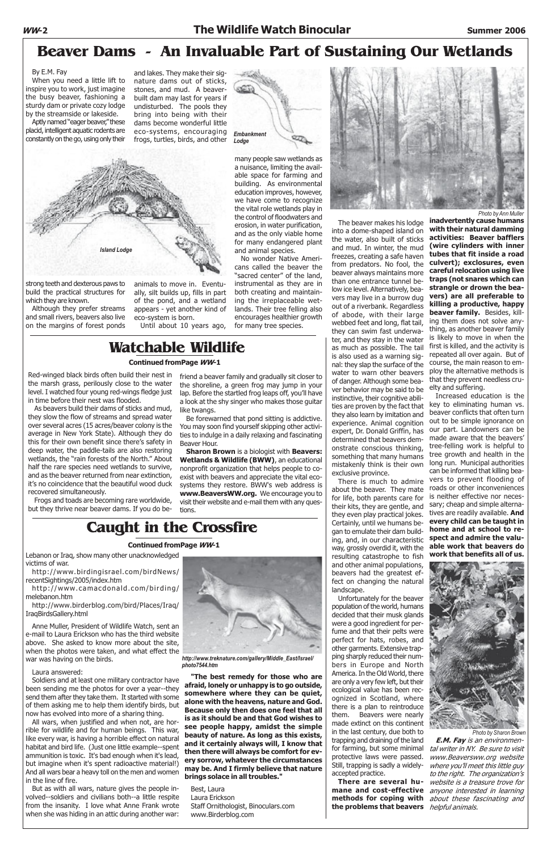## Caught in the Crossfire

Lebanon or Iraq, show many other unacknowledged victims of war.

http://www.birdingisrael.com/birdNews/ recentSightings/2005/index.htm

http://www.camacdonald.com/birding/ melebanon.htm

http://www.birderblog.com/bird/Places/Iraq/ IraqBirdsGallery.html

Anne Muller, President of Wildlife Watch, sent an e-mail to Laura Erickson who has the third website above. She asked to know more about the site, when the photos were taken, and what effect the war was having on the birds.

#### Laura answered:

Soldiers and at least one military contractor have been sending me the photos for over a year--they send them after they take them. It started with some of them asking me to help them identify birds, but now has evolved into more of a sharing thing.

All wars, when justified and when not, are horrible for wildlife and for human beings. This war, like every war, is having a horrible effect on natural habitat and bird life. (Just one little example--spent ammunition is toxic. It's bad enough when it's lead, but imagine when it's spent radioactive material!) And all wars bear a heavy toll on the men and women in the line of fire.

But as with all wars, nature gives the people involved--soldiers and civilians both--a little respite from the insanity. I love what Anne Frank wrote when she was hiding in an attic during another war:



"The best remedy for those who are afraid, lonely or unhappy is to go outside, somewhere where they can be quiet, alone with the heavens, nature and God. Because only then does one feel that all is as it should be and that God wishes to see people happy, amidst the simple beauty of nature. As long as this exists, and it certainly always will, I know that then there will always be comfort for every sorrow, whatever the circumstances may be. And I firmly believe that nature brings solace in all troubles."

Best, Laura Laura Erickson Staff Ornithologist, Binoculars.com www.Birderblog.com

#### Continued fromPage WW-1

Red-winged black birds often build their nest in the marsh grass, perilously close to the water level. I watched four young red-wings fledge just in time before their nest was flooded.

As beavers build their dams of sticks and mud, they slow the flow of streams and spread water over several acres (15 acres/beaver colony is the average in New York State). Although they do this for their own benefit since there's safety in deep water, the paddle-tails are also restoring wetlands, the "rain forests of the North." About half the rare species need wetlands to survive, and as the beaver returned from near extinction, it's no coincidence that the beautiful wood duck recovered simultaneously.

Frogs and toads are becoming rare worldwide, but they thrive near beaver dams. If you do be-

## Watchable Wildlife

friend a beaver family and gradually sit closer to the shoreline, a green frog may jump in your lap. Before the startled frog leaps off, you'll have a look at the shy singer who makes those guitar

like twangs.

Be forewarned that pond sitting is addictive. You may soon find yourself skipping other activities to indulge in a daily relaxing and fascinating

Beaver Hour.

Unfortunately for the beaver population of the world, humans decided that their musk glands were a good ingredient for perfume and that their pelts were perfect for hats, robes, and other garments. Extensive trapping sharply reduced their numbers in Europe and North America. In the Old World, there are only a very few left, but their ecological value has been recognized in Scotland, where there is a plan to reintroduce them. Beavers were nearly made extinct on this continent in the last century, due both to trapping and draining of the land for farming, but some minimal protective laws were passed. Still, trapping is sadly a widelyaccepted practice. There are several humane and cost-effective anyone interested in learning methods for coping with about these fascinating and the problems that beavers *helpful animals.* 

Sharon Brown is a biologist with Beavers: Wetlands & Wildlife (BWW), an educational nonprofit organization that helps people to coexist with beavers and appreciate the vital ecosystems they restore. BWW's web address is www.BeaversWW.org. We encourage you to visit their website and e-mail them with any ques-

tions.

#### Continued fromPage WW-1

## Beaver Dams - An Invaluable Part of Sustaining Our Wetlands

By E.M. Fay

When you need a little lift to inspire you to work, just imagine the busy beaver, fashioning a sturdy dam or private cozy lodge by the streamside or lakeside.

Aptly named "eager beaver," these placid, intelligent aquatic rodents are constantly on the go, using only their

and lakes. They make their signature dams out of sticks, stones, and mud. A beaverbuilt dam may last for years if undisturbed. The pools they bring into being with their dams become wonderful little eco-systems, encouraging frogs, turtles, birds, and other

animals to move in. Eventually, silt builds up, fills in part of the pond, and a wetland appears - yet another kind of eco-system is born.

Until about 10 years ago,

# **Embankment** Lodge

strong teeth and dexterous paws to build the practical structures for which they are known.

Although they prefer streams and small rivers, beavers also live on the margins of forest ponds

many people saw wetlands as a nuisance, limiting the available space for farming and building. As environmental education improves, however, we have come to recognize the vital role wetlands play in the control of floodwaters and erosion, in water purification, and as the only viable home for many endangered plant and animal species.

No wonder Native Americans called the beaver the "sacred center" of the land, instrumental as they are in both creating and maintaining the irreplaceable wetlands. Their tree felling also encourages healthier growth for many tree species.



The beaver makes his lodge into a dome-shaped island on the water, also built of sticks and mud. In winter, the mud freezes, creating a safe haven from predators. No fool, the beaver always maintains more than one entrance tunnel below ice level. Alternatively, beavers may live in a burrow dug out of a riverbank. Regardless of abode, with their large webbed feet and long, flat tail, they can swim fast underwater, and they stay in the water as much as possible. The tail is also used as a warning signal: they slap the surface of the water to warn other beavers of danger. Although some beaver behavior may be said to be instinctive, their cognitive abilities are proven by the fact that they also learn by imitation and experience. Animal cognition expert, Dr. Donald Griffin, has determined that beavers demonstrate conscious thinking, something that many humans mistakenly think is their own exclusive province.

There is much to admire about the beaver. They mate for life, both parents care for their kits, they are gentle, and they even play practical jokes. Certainly, until we humans began to emulate their dam building, and, in our characteristic way, grossly overdid it, with the resulting catastrophe to fish and other animal populations, beavers had the greatest effect on changing the natural landscape.

inadvertently cause humans with their natural damming activities: Beaver bafflers (wire cylinders with inner tubes that fit inside a road culvert); exclosures, even careful relocation using live traps (not snares which can strangle or drown the beavers) are all preferable to killing a productive, happy beaver family. Besides, killing them does not solve anything, as another beaver family is likely to move in when the first is killed, and the activity is repeated all over again. But of course, the main reason to employ the alternative methods is that they prevent needless cruelty and suffering.

Increased education is the key to eliminating human vs. beaver conflicts that often turn out to be simple ignorance on our part. Landowners can be made aware that the beavers' tree-felling work is helpful to tree growth and health in the long run. Municipal authorities can be informed that killing beavers to prevent flooding of roads or other inconveniences is neither effective nor necessary; cheap and simple alternatives are readily available. And every child can be taught in home and at school to respect and admire the valuable work that beavers do work that benefits all of us.



E.M. Fay is an environmental writer in NY. Be sure to visit www.Beaversww.org website where you'll meet this little guy to the right. The organization's website is a treasure trove for



http://www.treknature.com/gallery/Middle\_East/Israel/ photo7544.htm

Photo by Sharon Brown

Photo by Ann Muller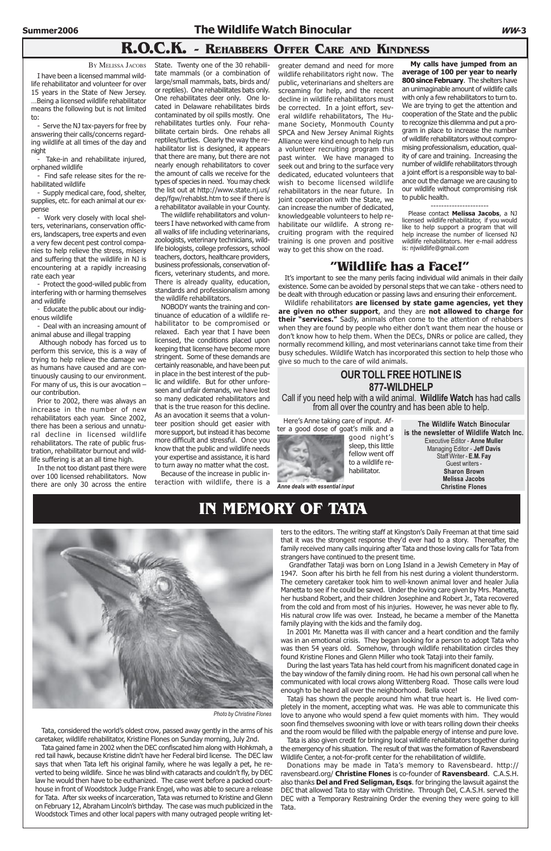## R.O.C.K. - REHABBERS OFFER CARE AND KINDNESS

Tata, considered the world's oldest crow, passed away gently in the arms of his caretaker, wildlife rehabilitator, Kristine Flones on Sunday morning, July 2nd.

Tata gained fame in 2002 when the DEC confiscated him along with Hohkmah, a red tail hawk, because Kristine didn't have her Federal bird license. The DEC law says that when Tata left his original family, where he was legally a pet, he reverted to being wildlife. Since he was blind with cataracts and couldn't fly, by DEC law he would then have to be euthanized. The case went before a packed courthouse in front of Woodstock Judge Frank Engel, who was able to secure a release for Tata. After six weeks of incarceration, Tata was returned to Kristine and Glenn on February 12, Abraham Lincoln's birthday. The case was much publicized in the Woodstock Times and other local papers with many outraged people writing let-

ters to the editors. The writing staff at Kingston's Daily Freeman at that time said that it was the strongest response they'd ever had to a story. Thereafter, the family received many calls inquiring after Tata and those loving calls for Tata from strangers have continued to the present time.

Tataji has shown the people around him what true heart is. He lived completely in the moment, accepting what was. He was able to communicate this love to anyone who would spend a few quiet moments with him. They would soon find themselves swooning with love or with tears rolling down their cheeks and the room would be filled with the palpable energy of intense and pure love.

 Grandfather Tataji was born on Long Island in a Jewish Cemetery in May of 1947. Soon after his birth he fell from his nest during a violent thunderstorm. The cemetery caretaker took him to well-known animal lover and healer Julia Manetta to see if he could be saved. Under the loving care given by Mrs. Manetta, her husband Robert, and their children Josephine and Robert Jr., Tata recovered from the cold and from most of his injuries. However, he was never able to fly. His natural crow life was over. Instead, he became a member of the Manetta family playing with the kids and the family dog.

In 2001 Mr. Manetta was ill with cancer and a heart condition and the family was in an emotional crisis. They began looking for a person to adopt Tata who was then 54 years old. Somehow, through wildlife rehabilitation circles they found Kristine Flones and Glenn Miller who took Tataji into their family.

During the last years Tata has held court from his magnificent donated cage in the bay window of the family dining room. He had his own personal call when he communicated with local crows along Wittenberg Road. Those calls were loud enough to be heard all over the neighborhood. Bella voce!

Tata is also given credit for bringing local wildlife rehabilitators together during the emergency of his situation. The result of that was the formation of Ravensbeard Wildlife Center, a not-for-profit center for the rehabilitation of wildlife.

Wildlife rehabilitators are licensed by state game agencies, yet they are given no other support, and they are not allowed to charge for their "services." Sadly, animals often come to the attention of rehabbers when they are found by people who either don't want them near the house or don't know how to help them. When the DECs, DNRs or police are called, they normally recommend killing, and most veterinarians cannot take time from their busy schedules. Wildlife Watch has incorporated this section to help those who give so much to the care of wild animals.

Donations may be made in Tata's memory to Ravensbeard. http:// ravensbeard.org/ Christine Flones is co-founder of Ravensbeard. C.A.S.H. also thanks Del and Fred Seligman, Esqs. for bringing the lawsuit against the DEC that allowed Tata to stay with Christine. Through Del, C.A.S.H. served the DEC with a Temporary Restraining Order the evening they were going to kill Tata.



Photo by Christine Flones

## IN MEMORY OF TATA

BY MELISSA JACOBS

I have been a licensed mammal wildlife rehabilitator and volunteer for over 15 years in the State of New Jersey. …Being a licensed wildlife rehabilitator means the following but is not limited to:

- Serve the NJ tax-payers for free by answering their calls/concerns regarding wildlife at all times of the day and night

- Take-in and rehabilitate injured, orphaned wildlife

- Find safe release sites for the rehabilitated wildlife

- Supply medical care, food, shelter, supplies, etc. for each animal at our expense

- Work very closely with local shelters, veterinarians, conservation officers, landscapers, tree experts and even a very few decent pest control companies to help relieve the stress, misery and suffering that the wildlife in NJ is encountering at a rapidly increasing rate each year

- Protect the good-willed public from interfering with or harming themselves and wildlife

- Educate the public about our indigenous wildlife

- Deal with an increasing amount of animal abuse and illegal trapping

 Although nobody has forced us to perform this service, this is a way of trying to help relieve the damage we as humans have caused and are continuously causing to our environment. For many of us, this is our avocation – our contribution.

Prior to 2002, there was always an increase in the number of new rehabilitators each year. Since 2002, there has been a serious and unnatural decline in licensed wildlife rehabilitators. The rate of public frustration, rehabilitator burnout and wildlife suffering is at an all time high.

In the not too distant past there were over 100 licensed rehabilitators. Now there are only 30 across the entire

## "Wildlife has a Face!"

It's important to see the many perils facing individual wild animals in their daily existence. Some can be avoided by personal steps that we can take - others need to be dealt with through education or passing laws and ensuring their enforcement.

State. Twenty one of the 30 rehabilitate mammals (or a combination of large/small mammals, bats, birds and/ or reptiles). One rehabilitates bats only. One rehabilitates deer only. One located in Delaware rehabilitates birds contaminated by oil spills mostly. One rehabilitates turtles only. Four rehabilitate certain birds. One rehabs all reptiles/turtles. Clearly the way the rehabilitator list is designed, it appears that there are many, but there are not nearly enough rehabilitators to cover the amount of calls we receive for the types of species in need. You may check the list out at http://www.state.nj.us/ dep/fgw/rehablst.htm to see if there is a rehabilitator available in your County.

The wildlife rehabilitators and volunteers I have networked with came from all walks of life including veterinarians, zoologists, veterinary technicians, wildlife biologists, college professors, school teachers, doctors, healthcare providers, business professionals, conservation officers, veterinary students, and more. There is already quality, education, standards and professionalism among the wildlife rehabilitators.

NOBODY wants the training and continuance of education of a wildlife rehabilitator to be compromised or relaxed. Each year that I have been licensed, the conditions placed upon keeping that license have become more stringent. Some of these demands are certainly reasonable, and have been put in place in the best interest of the public and wildlife. But for other unforeseen and unfair demands, we have lost so many dedicated rehabilitators and that is the true reason for this decline. As an avocation it seems that a volunteer position should get easier with more support, but instead it has become more difficult and stressful. Once you know that the public and wildlife needs your expertise and assistance, it is hard to turn away no matter what the cost.

Because of the increase in public interaction with wildlife, there is a

greater demand and need for more wildlife rehabilitators right now. The public, veterinarians and shelters are screaming for help, and the recent decline in wildlife rehabilitators must be corrected. In a joint effort, several wildlife rehabilitators, The Humane Society, Monmouth County SPCA and New Jersey Animal Rights Alliance were kind enough to help run a volunteer recruiting program this past winter. We have managed to seek out and bring to the surface very dedicated, educated volunteers that wish to become licensed wildlife rehabilitators in the near future. In joint cooperation with the State, we can increase the number of dedicated, knowledgeable volunteers to help rehabilitate our wildlife. A strong recruiting program with the required training is one proven and positive way to get this show on the road.

My calls have jumped from an average of 100 per year to nearly 800 since February. The shelters have an unimaginable amount of wildlife calls with only a few rehabilitators to turn to. We are trying to get the attention and cooperation of the State and the public to recognize this dilemma and put a program in place to increase the number of wildlife rehabilitators without compromising professionalism, education, quality of care and training. Increasing the number of wildlife rehabilitators through a joint effort is a responsible way to balance out the damage we are causing to our wildlife without compromising risk to public health.

---------------------- Please contact Melissa Jacobs, a NJ licensed wildlife rehabilitator, if you would like to help support a program that will help increase the number of licensed NJ wildlife rehabilitators. Her e-mail address

is: njwildlife@gmail.com

Here's Anne taking care of input. After a good dose of goat's milk and a

> good night's sleep, this little fellow went off to a wildlife rehabilitator.



Anne deals with essential input

## OUR TOLL FREE HOTLINE IS 877-WILDHELP

Call if you need help with a wild animal. Wildlife Watch has had calls from all over the country and has been able to help.

> The Wildlife Watch Binocular is the newsletter of Wildlife Watch Inc. Executive Editor - Anne Muller Managing Editor - Jeff Davis Staff Writer - E.M. Fay Guest writers - Sharon Brown Melissa Jacobs Christine Flones